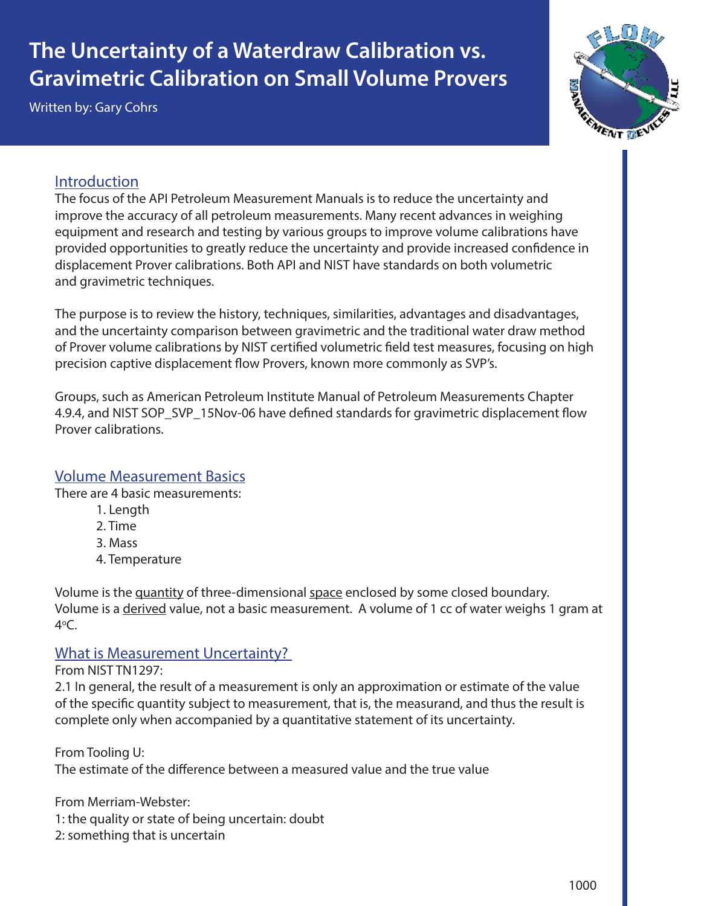# **The Uncertainty of a Waterdraw Calibration vs. Gravimetric Calibration on Small Volume Provers**

Written by: Gary Cohrs



## Introduction

The focus of the API Petroleum Measurement Manuals is to reduce the uncertainty and improve the accuracy of all petroleum measurements. Many recent advances in weighing equipment and research and testing by various groups to improve volume calibrations have provided opportunities to greatly reduce the uncertainty and provide increased confidence in displacement Prover calibrations. Both API and NIST have standards on both volumetric and gravimetric techniques.

The purpose is to review the history, techniques, similarities, advantages and disadvantages, and the uncertainty comparison between gravimetric and the traditional water draw method of Prover volume calibrations by NIST certified volumetric field test measures, focusing on high precision captive displacement flow Provers, known more commonly as SVP's.

Groups, such as American Petroleum Institute Manual of Petroleum Measurements Chapter 4.9.4, and NIST SOP\_SVP\_15Nov-06 have defined standards for gravimetric displacement flow Prover calibrations.

#### Volume Measurement Basics

There are 4 basic measurements:

- 1. Length
- 2. Time
- 3. Mass
- 4. Temperature

Volume is the quantity of three-dimensional space enclosed by some closed boundary. Volume is a derived value, not a basic measurement. A volume of 1 cc of water weighs 1 gram at 4o C.

#### What is Measurement Uncertainty?

From NIST TN1297:

2.1 In general, the result of a measurement is only an approximation or estimate of the value of the specific quantity subject to measurement, that is, the measurand, and thus the result is complete only when accompanied by a quantitative statement of its uncertainty.

From Tooling U: The estimate of the difference between a measured value and the true value

From Merriam-Webster: 1: the quality or state of being uncertain: doubt 2: something that is uncertain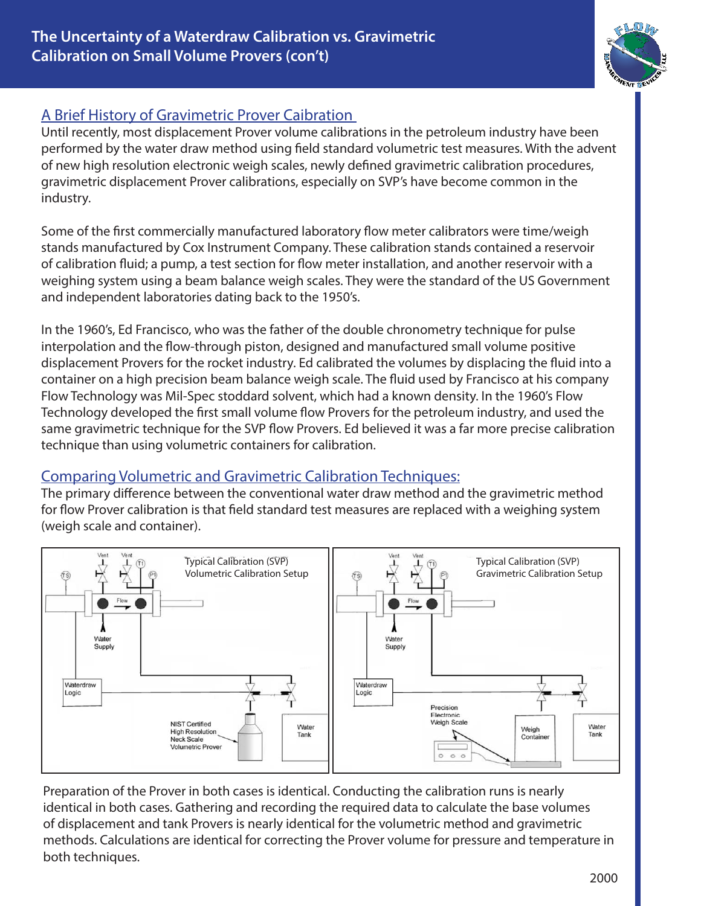# A Brief History of Gravimetric Prover Caibration

Until recently, most displacement Prover volume calibrations in the petroleum industry have been performed by the water draw method using field standard volumetric test measures. With the advent of new high resolution electronic weigh scales, newly defined gravimetric calibration procedures, gravimetric displacement Prover calibrations, especially on SVP's have become common in the industry.

Some of the first commercially manufactured laboratory flow meter calibrators were time/weigh stands manufactured by Cox Instrument Company. These calibration stands contained a reservoir of calibration fluid; a pump, a test section for flow meter installation, and another reservoir with a weighing system using a beam balance weigh scales. They were the standard of the US Government and independent laboratories dating back to the 1950's.

In the 1960's, Ed Francisco, who was the father of the double chronometry technique for pulse interpolation and the flow-through piston, designed and manufactured small volume positive displacement Provers for the rocket industry. Ed calibrated the volumes by displacing the fluid into a container on a high precision beam balance weigh scale. The fluid used by Francisco at his company Flow Technology was Mil-Spec stoddard solvent, which had a known density. In the 1960's Flow Technology developed the first small volume flow Provers for the petroleum industry, and used the same gravimetric technique for the SVP flow Provers. Ed believed it was a far more precise calibration technique than using volumetric containers for calibration.

# Comparing Volumetric and Gravimetric Calibration Techniques:

The primary difference between the conventional water draw method and the gravimetric method for flow Prover calibration is that field standard test measures are replaced with a weighing system (weigh scale and container).



Preparation of the Prover in both cases is identical. Conducting the calibration runs is nearly identical in both cases. Gathering and recording the required data to calculate the base volumes of displacement and tank Provers is nearly identical for the volumetric method and gravimetric methods. Calculations are identical for correcting the Prover volume for pressure and temperature in both techniques.

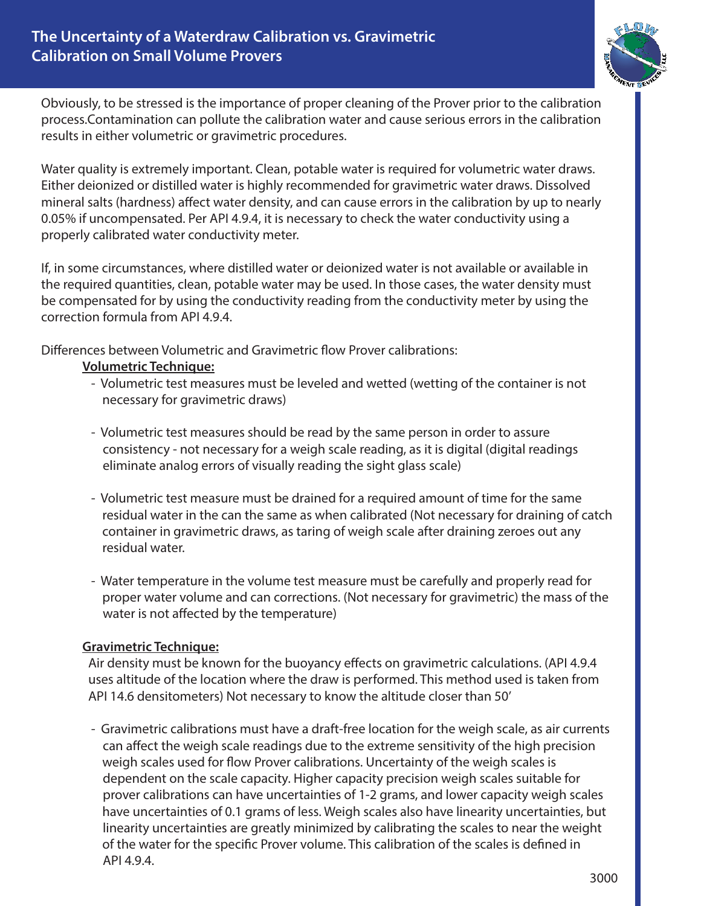

Obviously, to be stressed is the importance of proper cleaning of the Prover prior to the calibration process.Contamination can pollute the calibration water and cause serious errors in the calibration results in either volumetric or gravimetric procedures.

Water quality is extremely important. Clean, potable water is required for volumetric water draws. Either deionized or distilled water is highly recommended for gravimetric water draws. Dissolved mineral salts (hardness) affect water density, and can cause errors in the calibration by up to nearly 0.05% if uncompensated. Per API 4.9.4, it is necessary to check the water conductivity using a properly calibrated water conductivity meter.

If, in some circumstances, where distilled water or deionized water is not available or available in the required quantities, clean, potable water may be used. In those cases, the water density must be compensated for by using the conductivity reading from the conductivity meter by using the correction formula from API 4.9.4.

Differences between Volumetric and Gravimetric flow Prover calibrations:

#### **Volumetric Technique:**

- Volumetric test measures must be leveled and wetted (wetting of the container is not necessary for gravimetric draws)
- Volumetric test measures should be read by the same person in order to assure consistency - not necessary for a weigh scale reading, as it is digital (digital readings eliminate analog errors of visually reading the sight glass scale)
- Volumetric test measure must be drained for a required amount of time for the same residual water in the can the same as when calibrated (Not necessary for draining of catch container in gravimetric draws, as taring of weigh scale after draining zeroes out any residual water.
- Water temperature in the volume test measure must be carefully and properly read for proper water volume and can corrections. (Not necessary for gravimetric) the mass of the water is not affected by the temperature)

#### **Gravimetric Technique:**

 Air density must be known for the buoyancy effects on gravimetric calculations. (API 4.9.4 uses altitude of the location where the draw is performed. This method used is taken from API 14.6 densitometers) Not necessary to know the altitude closer than 50'

 - Gravimetric calibrations must have a draft-free location for the weigh scale, as air currents can affect the weigh scale readings due to the extreme sensitivity of the high precision weigh scales used for flow Prover calibrations. Uncertainty of the weigh scales is dependent on the scale capacity. Higher capacity precision weigh scales suitable for prover calibrations can have uncertainties of 1-2 grams, and lower capacity weigh scales have uncertainties of 0.1 grams of less. Weigh scales also have linearity uncertainties, but linearity uncertainties are greatly minimized by calibrating the scales to near the weight of the water for the specific Prover volume. This calibration of the scales is defined in API 4.9.4.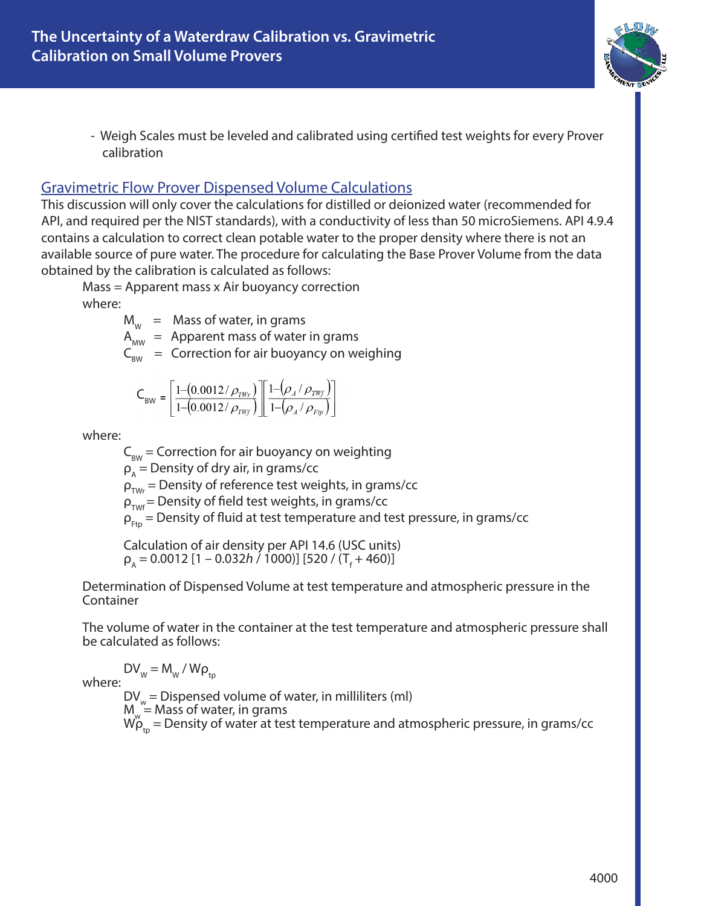

 - Weigh Scales must be leveled and calibrated using certified test weights for every Prover calibration

#### Gravimetric Flow Prover Dispensed Volume Calculations

This discussion will only cover the calculations for distilled or deionized water (recommended for API, and required per the NIST standards), with a conductivity of less than 50 microSiemens. API 4.9.4 contains a calculation to correct clean potable water to the proper density where there is not an available source of pure water. The procedure for calculating the Base Prover Volume from the data obtained by the calibration is calculated as follows:

Mass = Apparent mass x Air buoyancy correction where:

 $M_w$  = Mass of water, in grams

 $A_{MW}$  = Apparent mass of water in grams

 $C_{\text{BW}}$  = Correction for air buoyancy on weighing

$$
\textsf{C}_{\textsf{BW}}=\left[\frac{1-\left(0.0012\,/\,\rho_{\textit{\tiny TW}_r}\right)}{1-\left(0.0012\,/\,\rho_{\textit{\tiny TW}_f}\right)}\right]\left[\frac{1-\left(\rho_{\textit{\tiny A}}\,/\,\rho_{\textit{\tiny TW}_f}\right)}{1-\left(\rho_{\textit{\tiny A}}\,/\,\rho_{\textit{\tiny Ftp}}\right)}\right]
$$

where:

 $C_{\text{rw}}$  = Correction for air buoyancy on weighting

 $\rho_{\text{A}}$  = Density of dry air, in grams/cc

 $\rho_{\text{TW}}$  = Density of reference test weights, in grams/cc

 $\rho_{\text{TWf}}$  = Density of field test weights, in grams/cc

 $\rho_{Ftp}$  = Density of fluid at test temperature and test pressure, in grams/cc<br>Calculation of air density per API 14.6 (USC units)

Calculation of air density per API 14.6 (USC units)<br>ρ<sub>A</sub> = 0.0012 [1 – 0.032*h /* 1000)] [520 / (Τ<sub>f</sub> + 460)]

Determination of Dispensed Volume at test temperature and atmospheric pressure in the Container

The volume of water in the container at the test temperature and atmospheric pressure shall be calculated as follows:

$$
DV_w = M_w / W\rho
$$

where:<br>  $DV_w = Nw / VP_{tp}$ <br>  $DV_w = Dispensed volume of water, in milliliters (ml)$ <br>  $M_w = Mass of water, in grams$  $W_{\rho_{tp}}^{\nu}$  = Density of water at test temperature and atmospheric pressure, in grams/cc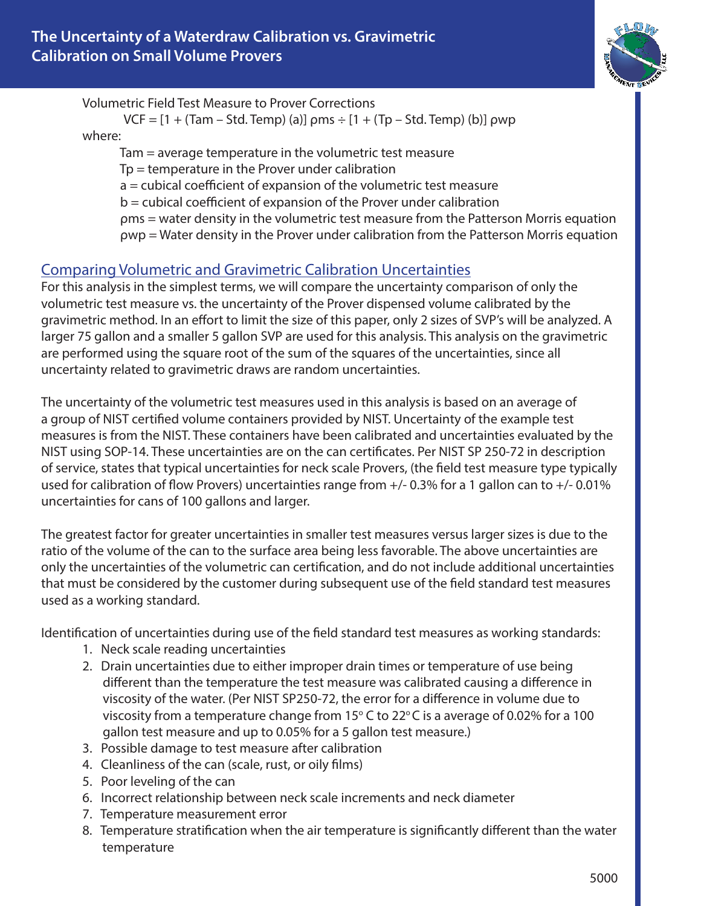

Volumetric Field Test Measure to Prover Corrections

 $VCF = [1 + (Tam - Std. Temp) (a)] \rho ms \div [1 + (Tp - Std. Temp) (b)] \rho wp$ where:

 Tam = average temperature in the volumetric test measure Tp = temperature in the Prover under calibration a = cubical coefficient of expansion of the volumetric test measure b = cubical coefficient of expansion of the Prover under calibration ρms = water density in the volumetric test measure from the Patterson Morris equation ρwp = Water density in the Prover under calibration from the Patterson Morris equation

## Comparing Volumetric and Gravimetric Calibration Uncertainties

For this analysis in the simplest terms, we will compare the uncertainty comparison of only the volumetric test measure vs. the uncertainty of the Prover dispensed volume calibrated by the gravimetric method. In an effort to limit the size of this paper, only 2 sizes of SVP's will be analyzed. A larger 75 gallon and a smaller 5 gallon SVP are used for this analysis. This analysis on the gravimetric are performed using the square root of the sum of the squares of the uncertainties, since all uncertainty related to gravimetric draws are random uncertainties.

The uncertainty of the volumetric test measures used in this analysis is based on an average of a group of NIST certified volume containers provided by NIST. Uncertainty of the example test measures is from the NIST. These containers have been calibrated and uncertainties evaluated by the NIST using SOP-14. These uncertainties are on the can certificates. Per NIST SP 250-72 in description of service, states that typical uncertainties for neck scale Provers, (the field test measure type typically used for calibration of flow Provers) uncertainties range from +/- 0.3% for a 1 gallon can to +/- 0.01% uncertainties for cans of 100 gallons and larger.

The greatest factor for greater uncertainties in smaller test measures versus larger sizes is due to the ratio of the volume of the can to the surface area being less favorable. The above uncertainties are only the uncertainties of the volumetric can certification, and do not include additional uncertainties that must be considered by the customer during subsequent use of the field standard test measures used as a working standard.

Identification of uncertainties during use of the field standard test measures as working standards:

- 1. Neck scale reading uncertainties
- 2. Drain uncertainties due to either improper drain times or temperature of use being different than the temperature the test measure was calibrated causing a difference in viscosity of the water. (Per NIST SP250-72, the error for a difference in volume due to viscosity from a temperature change from 15 $\degree$  C to 22 $\degree$ C is a average of 0.02% for a 100 gallon test measure and up to 0.05% for a 5 gallon test measure.)
- 3. Possible damage to test measure after calibration
- 4. Cleanliness of the can (scale, rust, or oily films)
- 5. Poor leveling of the can
- 6. Incorrect relationship between neck scale increments and neck diameter
- 7. Temperature measurement error
- 8. Temperature stratification when the air temperature is significantly different than the water temperature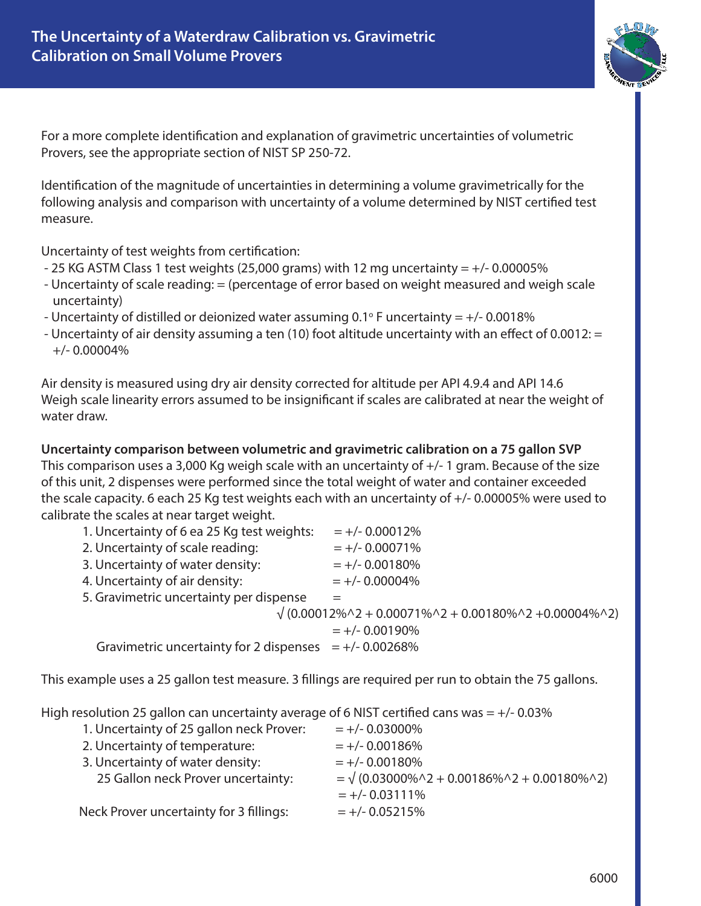

For a more complete identification and explanation of gravimetric uncertainties of volumetric Provers, see the appropriate section of NIST SP 250-72.

Identification of the magnitude of uncertainties in determining a volume gravimetrically for the following analysis and comparison with uncertainty of a volume determined by NIST certified test measure.

Uncertainty of test weights from certification:

- 25 KG ASTM Class 1 test weights (25,000 grams) with 12 mg uncertainty  $= +/-0.00005\%$
- Uncertainty of scale reading: = (percentage of error based on weight measured and weigh scale uncertainty)
- Uncertainty of distilled or deionized water assuming 0.1° F uncertainty =  $+/-$  0.0018%
- Uncertainty of air density assuming a ten (10) foot altitude uncertainty with an effect of 0.0012: = +/- 0.00004%

Air density is measured using dry air density corrected for altitude per API 4.9.4 and API 14.6 Weigh scale linearity errors assumed to be insignificant if scales are calibrated at near the weight of water draw.

**Uncertainty comparison between volumetric and gravimetric calibration on a 75 gallon SVP** This comparison uses a 3,000 Kg weigh scale with an uncertainty of +/- 1 gram. Because of the size of this unit, 2 dispenses were performed since the total weight of water and container exceeded the scale capacity. 6 each 25 Kg test weights each with an uncertainty of +/- 0.00005% were used to calibrate the scales at near target weight.

| 1. Uncertainty of 6 ea 25 Kg test weights:                                               | $= +/- 0.00012%$  |
|------------------------------------------------------------------------------------------|-------------------|
| 2. Uncertainty of scale reading:                                                         | $= +/- 0.00071%$  |
| 3. Uncertainty of water density:                                                         | $= +/- 0.00180%$  |
| 4. Uncertainty of air density:                                                           | $= +/- 0.00004\%$ |
| 5. Gravimetric uncertainty per dispense                                                  |                   |
| $\sqrt{(0.00012\% \cdot 2 + 0.00071\% \cdot 2 + 0.00180\% \cdot 2 + 0.00004\% \cdot 2)}$ |                   |
|                                                                                          | $= +/- 0.00190%$  |
| Gravimetric uncertainty for 2 dispenses $= +/- 0.00268\%$                                |                   |
|                                                                                          |                   |

This example uses a 25 gallon test measure. 3 fillings are required per run to obtain the 75 gallons.

High resolution 25 gallon can uncertainty average of 6 NIST certified cans was  $= +/-0.03\%$ 

| $= +/- 0.03000\%$                                                         |
|---------------------------------------------------------------------------|
| $= +/- 0.00186%$                                                          |
| $= +/- 0.00180%$                                                          |
| = $\sqrt{(0.03000\% \times 2 + 0.00186\% \times 2 + 0.00180\% \times 2)}$ |
| $= +/- 0.03111\%$                                                         |
| $= +/- 0.05215%$                                                          |
|                                                                           |